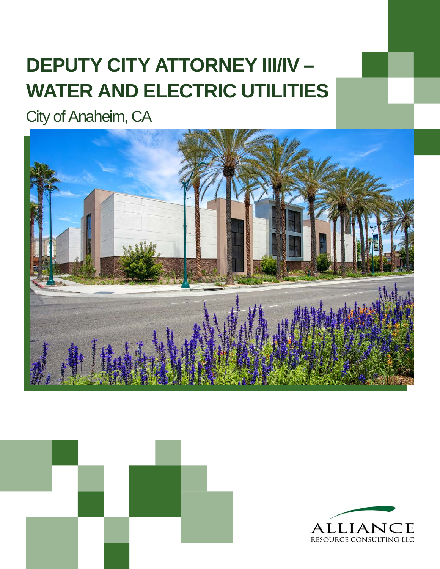# **DEPUTY CITY ATTORNEY III/IV – WATER AND ELECTRIC UTILITIES**

City of Anaheim, CA





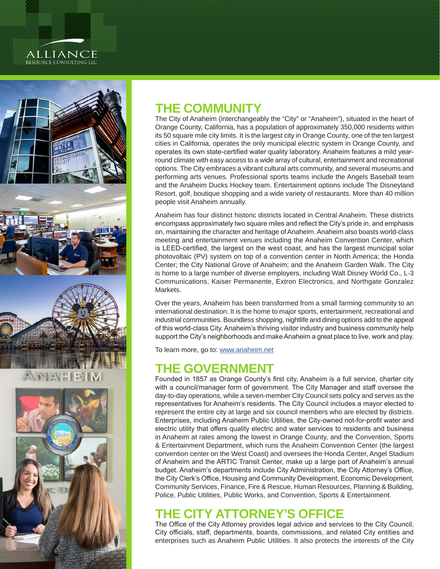## ALLIANCE RESOURCE CONSULTING LLC







# **THE COMMUNITY**

The City of Anaheim (interchangeably the "City" or "Anaheim"), situated in the heart of Orange County, California, has a population of approximately 350,000 residents within its 50 square mile city limits. It is the largest city in Orange County, one of the ten largest cities in California, operates the only municipal electric system in Orange County, and operates its own state-certified water quality laboratory. Anaheim features a mild yearround climate with easy access to a wide array of cultural, entertainment and recreational options. The City embraces a vibrant cultural arts community, and several museums and performing arts venues. Professional sports teams include the Angels Baseball team and the Anaheim Ducks Hockey team. Entertainment options include The Disneyland Resort, golf, boutique shopping and a wide variety of restaurants. More than 40 million people visit Anaheim annually.

Anaheim has four distinct historic districts located in Central Anaheim. These districts encompass approximately two square miles and reflect the City's pride in, and emphasis on, maintaining the character and heritage of Anaheim. Anaheim also boasts world-class meeting and entertainment venues including the Anaheim Convention Center, which is LEED-certified, the largest on the west coast, and has the largest municipal solar photovoltaic (PV) system on top of a convention center in North America; the Honda Center; the City National Grove of Anaheim; and the Anaheim Garden Walk. The City is home to a large number of diverse employers, including Walt Disney World Co., L-3 Communications, Kaiser Permanente, Extron Electronics, and Northgate Gonzalez Markets.

Over the years, Anaheim has been transformed from a small farming community to an international destination. It is the home to major sports, entertainment, recreational and industrial communities. Boundless shopping, nightlife and dining options add to the appeal of this world-class City. Anaheim's thriving visitor industry and business community help support the City's neighborhoods and make Anaheim a great place to live, work and play.

To learn more, go to: [www.anaheim.net](http://www.anaheim.net)

### **THE GOVERNMENT**

Founded in 1857 as Orange County's first city, Anaheim is a full service, charter city with a council/manager form of government. The City Manager and staff oversee the day-to-day operations, while a seven-member City Council sets policy and serves as the representatives for Anaheim's residents. The City Council includes a mayor elected to represent the entire city at large and six council members who are elected by districts. Enterprises, including Anaheim Public Utilities, the City-owned not-for-profit water and electric utility that offers quality electric and water services to residents and business in Anaheim at rates among the lowest in Orange County, and the Convention, Sports & Entertainment Department, which runs the Anaheim Convention Center (the largest convention center on the West Coast) and oversees the Honda Center, Angel Stadium of Anaheim and the ARTIC Transit Center, make up a large part of Anaheim's annual budget. Anaheim's departments include City Administration, the City Attorney's Office, the City Clerk's Office, Housing and Community Development, Economic Development, Community Services, Finance, Fire & Rescue, Human Resources, Planning & Building, Police, Public Utilities, Public Works, and Convention, Sports & Entertainment.

# **THE CITY ATTORNEY'S OFFICE**

The Office of the City Attorney provides legal advice and services to the City Council, City officials, staff, departments, boards, commissions, and related City entities and enterprises such as Anaheim Public Utilities. It also protects the interests of the City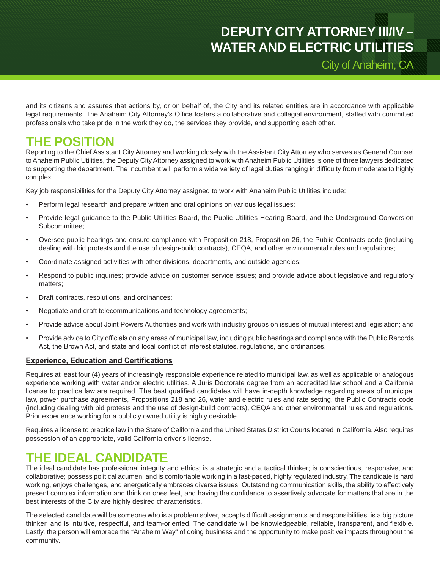# **DEPUTY CITY ATTORNEY III/IV – WATER AND ELECTRIC UTILITIES**

City of Anaheim, CA

and its citizens and assures that actions by, or on behalf of, the City and its related entities are in accordance with applicable legal requirements. The Anaheim City Attorney's Office fosters a collaborative and collegial environment, staffed with committed professionals who take pride in the work they do, the services they provide, and supporting each other.

### **THE POSITION**

Reporting to the Chief Assistant City Attorney and working closely with the Assistant City Attorney who serves as General Counsel to Anaheim Public Utilities, the Deputy City Attorney assigned to work with Anaheim Public Utilities is one of three lawyers dedicated to supporting the department. The incumbent will perform a wide variety of legal duties ranging in difficulty from moderate to highly complex.

Key job responsibilities for the Deputy City Attorney assigned to work with Anaheim Public Utilities include:

- Perform legal research and prepare written and oral opinions on various legal issues;
- Provide legal guidance to the Public Utilities Board, the Public Utilities Hearing Board, and the Underground Conversion Subcommittee;
- Oversee public hearings and ensure compliance with Proposition 218, Proposition 26, the Public Contracts code (including dealing with bid protests and the use of design-build contracts), CEQA, and other environmental rules and regulations;
- Coordinate assigned activities with other divisions, departments, and outside agencies;
- Respond to public inquiries; provide advice on customer service issues; and provide advice about legislative and regulatory matters;
- Draft contracts, resolutions, and ordinances;
- Negotiate and draft telecommunications and technology agreements;
- Provide advice about Joint Powers Authorities and work with industry groups on issues of mutual interest and legislation; and
- Provide advice to City officials on any areas of municipal law, including public hearings and compliance with the Public Records Act, the Brown Act, and state and local conflict of interest statutes, regulations, and ordinances.

#### **Experience, Education and Certifications**

Requires at least four (4) years of increasingly responsible experience related to municipal law, as well as applicable or analogous experience working with water and/or electric utilities. A Juris Doctorate degree from an accredited law school and a California license to practice law are required. The best qualified candidates will have in-depth knowledge regarding areas of municipal law, power purchase agreements, Propositions 218 and 26, water and electric rules and rate setting, the Public Contracts code (including dealing with bid protests and the use of design-build contracts), CEQA and other environmental rules and regulations. Prior experience working for a publicly owned utility is highly desirable.

Requires a license to practice law in the State of California and the United States District Courts located in California. Also requires possession of an appropriate, valid California driver's license.

### **THE IDEAL CANDIDATE**

The ideal candidate has professional integrity and ethics; is a strategic and a tactical thinker; is conscientious, responsive, and collaborative; possess political acumen; and is comfortable working in a fast-paced, highly regulated industry. The candidate is hard working, enjoys challenges, and energetically embraces diverse issues. Outstanding communication skills, the ability to effectively present complex information and think on ones feet, and having the confidence to assertively advocate for matters that are in the best interests of the City are highly desired characteristics.

The selected candidate will be someone who is a problem solver, accepts difficult assignments and responsibilities, is a big picture thinker, and is intuitive, respectful, and team-oriented. The candidate will be knowledgeable, reliable, transparent, and flexible. Lastly, the person will embrace the "Anaheim Way" of doing business and the opportunity to make positive impacts throughout the community.